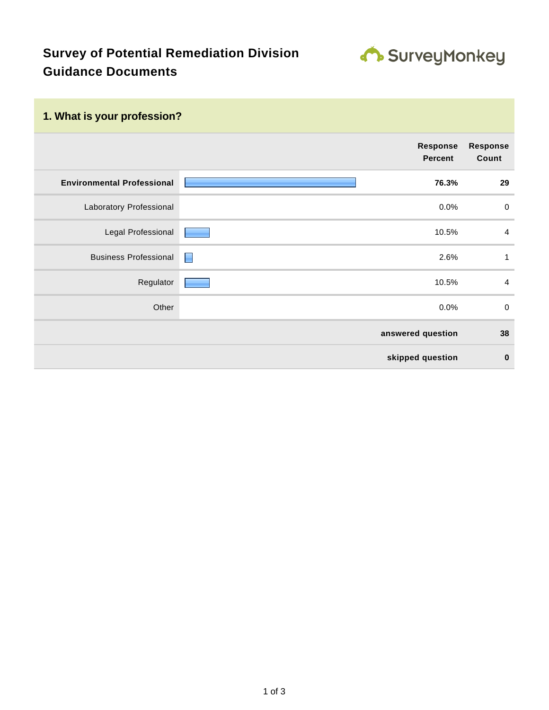## **Survey of Potential Remediation Division Guidance Documents**



## **1. What is your profession?**

|                                   |   | Response<br><b>Percent</b> | <b>Response</b><br>Count |
|-----------------------------------|---|----------------------------|--------------------------|
| <b>Environmental Professional</b> |   | 76.3%                      | 29                       |
| Laboratory Professional           |   | 0.0%                       | $\boldsymbol{0}$         |
| Legal Professional                |   | 10.5%                      | $\overline{a}$           |
| <b>Business Professional</b>      | H | 2.6%                       | $\mathbf{1}$             |
| Regulator                         |   | 10.5%                      | $\overline{a}$           |
| Other                             |   | 0.0%                       | $\boldsymbol{0}$         |
|                                   |   | answered question          | 38                       |
|                                   |   | skipped question           | $\mathbf 0$              |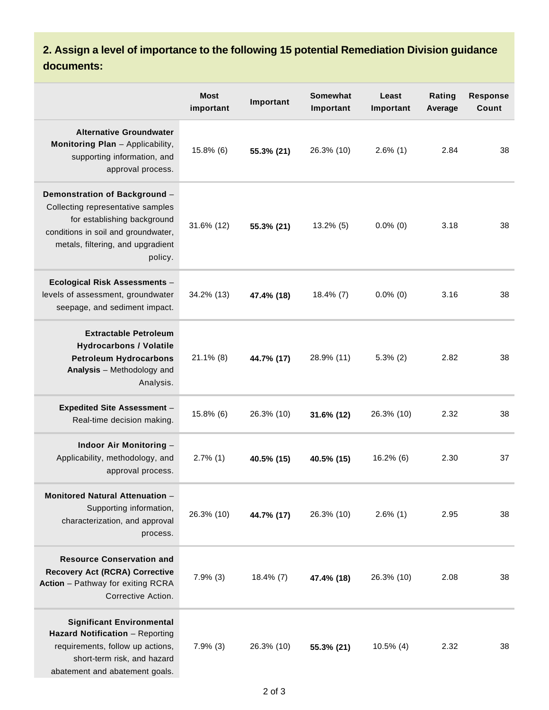**2. Assign a level of importance to the following 15 potential Remediation Division guidance documents:**

|                                                                                                                                                                                          | <b>Most</b><br>important | Important  | <b>Somewhat</b><br>Important | Least<br>Important | Rating<br>Average | <b>Response</b><br><b>Count</b> |
|------------------------------------------------------------------------------------------------------------------------------------------------------------------------------------------|--------------------------|------------|------------------------------|--------------------|-------------------|---------------------------------|
| <b>Alternative Groundwater</b><br>Monitoring Plan - Applicability,<br>supporting information, and<br>approval process.                                                                   | $15.8\%$ (6)             | 55.3% (21) | 26.3% (10)                   | $2.6\%$ (1)        | 2.84              | 38                              |
| Demonstration of Background -<br>Collecting representative samples<br>for establishing background<br>conditions in soil and groundwater,<br>metals, filtering, and upgradient<br>policy. | 31.6% (12)               | 55.3% (21) | 13.2% (5)                    | $0.0\%$ (0)        | 3.18              | 38                              |
| Ecological Risk Assessments -<br>levels of assessment, groundwater<br>seepage, and sediment impact.                                                                                      | 34.2% (13)               | 47.4% (18) | $18.4\%$ (7)                 | $0.0\%$ (0)        | 3.16              | 38                              |
| <b>Extractable Petroleum</b><br><b>Hydrocarbons / Volatile</b><br><b>Petroleum Hydrocarbons</b><br>Analysis - Methodology and<br>Analysis.                                               | $21.1\%$ (8)             | 44.7% (17) | 28.9% (11)                   | $5.3\%$ (2)        | 2.82              | 38                              |
| <b>Expedited Site Assessment -</b><br>Real-time decision making.                                                                                                                         | 15.8% (6)                | 26.3% (10) | 31.6% (12)                   | 26.3% (10)         | 2.32              | 38                              |
| Indoor Air Monitoring -<br>Applicability, methodology, and<br>approval process.                                                                                                          | $2.7\%$ (1)              | 40.5% (15) | 40.5% (15)                   | $16.2\%$ (6)       | 2.30              | 37                              |
| Monitored Natural Attenuation -<br>Supporting information,<br>characterization, and approval<br>process.                                                                                 | 26.3% (10)               | 44.7% (17) | 26.3% (10)                   | $2.6\%$ (1)        | 2.95              | 38                              |
| <b>Resource Conservation and</b><br><b>Recovery Act (RCRA) Corrective</b><br>Action - Pathway for exiting RCRA<br>Corrective Action.                                                     | $7.9\%$ (3)              | 18.4% (7)  | 47.4% (18)                   | 26.3% (10)         | 2.08              | 38                              |
| <b>Significant Environmental</b><br>Hazard Notification - Reporting<br>requirements, follow up actions,<br>short-term risk, and hazard<br>abatement and abatement goals.                 | $7.9\%$ (3)              | 26.3% (10) | 55.3% (21)                   | $10.5\%$ (4)       | 2.32              | 38                              |